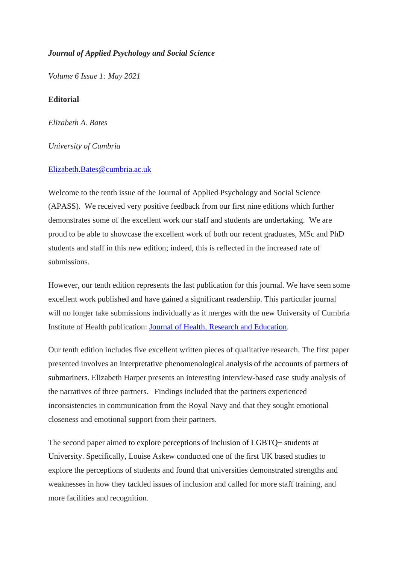## *Journal of Applied Psychology and Social Science*

*Volume 6 Issue 1: May 2021*

## **Editorial**

*Elizabeth A. Bates*

## *University of Cumbria*

## [Elizabeth.Bates@cumbria.ac.uk](mailto:Elizabeth.Bates@cumbria.ac.uk)

Welcome to the tenth issue of the Journal of Applied Psychology and Social Science (APASS). We received very positive feedback from our first nine editions which further demonstrates some of the excellent work our staff and students are undertaking. We are proud to be able to showcase the excellent work of both our recent graduates, MSc and PhD students and staff in this new edition; indeed, this is reflected in the increased rate of submissions.

However, our tenth edition represents the last publication for this journal. We have seen some excellent work published and have gained a significant readership. This particular journal will no longer take submissions individually as it merges with the new University of Cumbria Institute of Health publication: [Journal of Health,](https://ojs.cumbria.ac.uk/index.php/jhre) Research and Education.

Our tenth edition includes five excellent written pieces of qualitative research. The first paper presented involves an interpretative phenomenological analysis of the accounts of partners of submariners. Elizabeth Harper presents an interesting interview-based case study analysis of the narratives of three partners. Findings included that the partners experienced inconsistencies in communication from the Royal Navy and that they sought emotional closeness and emotional support from their partners.

The second paper aimed to explore perceptions of inclusion of LGBTQ+ students at University. Specifically, Louise Askew conducted one of the first UK based studies to explore the perceptions of students and found that universities demonstrated strengths and weaknesses in how they tackled issues of inclusion and called for more staff training, and more facilities and recognition.